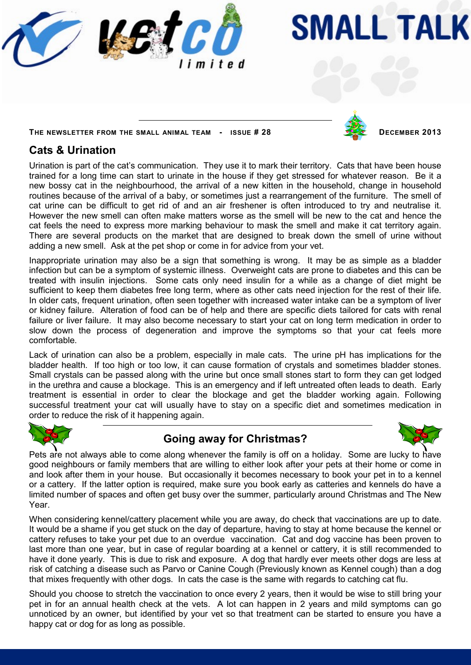

# **SMALL TALK**

**THE NEWSLETTER FROM THE SMALL ANIMAL TEAM - ISSUE # 28 DECEMBER 2013**

## **Cats & Urination**

Urination is part of the cat's communication. They use it to mark their territory. Cats that have been house trained for a long time can start to urinate in the house if they get stressed for whatever reason. Be it a new bossy cat in the neighbourhood, the arrival of a new kitten in the household, change in household routines because of the arrival of a baby, or sometimes just a rearrangement of the furniture. The smell of cat urine can be difficult to get rid of and an air freshener is often introduced to try and neutralise it. However the new smell can often make matters worse as the smell will be new to the cat and hence the cat feels the need to express more marking behaviour to mask the smell and make it cat territory again. There are several products on the market that are designed to break down the smell of urine without adding a new smell. Ask at the pet shop or come in for advice from your vet.

Inappropriate urination may also be a sign that something is wrong. It may be as simple as a bladder infection but can be a symptom of systemic illness. Overweight cats are prone to diabetes and this can be treated with insulin injections. Some cats only need insulin for a while as a change of diet might be sufficient to keep them diabetes free long term, where as other cats need injection for the rest of their life. In older cats, frequent urination, often seen together with increased water intake can be a symptom of liver or kidney failure. Alteration of food can be of help and there are specific diets tailored for cats with renal failure or liver failure. It may also become necessary to start your cat on long term medication in order to slow down the process of degeneration and improve the symptoms so that your cat feels more comfortable.

Lack of urination can also be a problem, especially in male cats. The urine pH has implications for the bladder health. If too high or too low, it can cause formation of crystals and sometimes bladder stones. Small crystals can be passed along with the urine but once small stones start to form they can get lodged in the urethra and cause a blockage. This is an emergency and if left untreated often leads to death. Early treatment is essential in order to clear the blockage and get the bladder working again. Following successful treatment your cat will usually have to stay on a specific diet and sometimes medication in order to reduce the risk of it happening again.



## **Going away for Christmas?**



Pets are not always able to come along whenever the family is off on a holiday. Some are lucky to have good neighbours or family members that are willing to either look after your pets at their home or come in and look after them in your house. But occasionally it becomes necessary to book your pet in to a kennel or a cattery. If the latter option is required, make sure you book early as catteries and kennels do have a limited number of spaces and often get busy over the summer, particularly around Christmas and The New Year.

When considering kennel/cattery placement while you are away, do check that vaccinations are up to date. It would be a shame if you get stuck on the day of departure, having to stay at home because the kennel or cattery refuses to take your pet due to an overdue vaccination. Cat and dog vaccine has been proven to last more than one year, but in case of regular boarding at a kennel or cattery, it is still recommended to have it done yearly. This is due to risk and exposure. A dog that hardly ever meets other dogs are less at risk of catching a disease such as Parvo or Canine Cough (Previously known as Kennel cough) than a dog that mixes frequently with other dogs. In cats the case is the same with regards to catching cat flu.

Should you choose to stretch the vaccination to once every 2 years, then it would be wise to still bring your pet in for an annual health check at the vets. A lot can happen in 2 years and mild symptoms can go unnoticed by an owner, but identified by your vet so that treatment can be started to ensure you have a happy cat or dog for as long as possible.